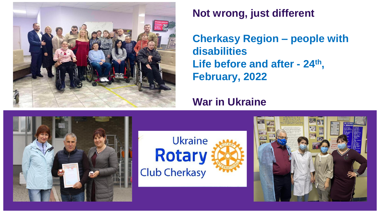

## **Not wrong, just different**

**Cherkasy Region – people with disabilities Life before and after - 24th , February, 2022**

## **War in Ukraine**





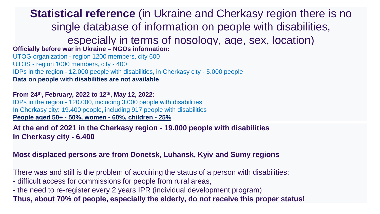**Statistical reference** (in Ukraine and Cherkasy region there is no single database of information on people with disabilities,

especially in terms of nosology, age, sex, location)

**Officially before war in Ukraine – NGOs information:** 

UTOG organization - region 1200 members, city 600 UTOS - region 1000 members, city - 400 IDPs in the region - 12.000 people with disabilities, in Cherkasy city - 5.000 people **Data on people with disabilities are not available**

**From 24th, February, 2022 to 12th, May 12, 2022:**  IDPs in the region - 120.000, including 3.000 people with disabilities In Cherkasy city: 19.400 people, including 917 people with disabilities **People aged 50+ - 50%, women - 60%, children - 25%** 

**At the end of 2021 in the Cherkasy region - 19.000 people with disabilities In Cherkasy city - 6.400**

#### **Most displaced persons are from Donetsk, Luhansk, Kyiv and Sumy regions**

There was and still is the problem of acquiring the status of a person with disabilities:

- difficult access for commissions for people from rural areas,
- the need to re-register every 2 years IPR (individual development program)

**Thus, about 70% of people, especially the elderly, do not receive this proper status!**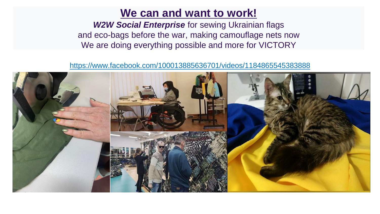## **We can and want to work!**

*W2W Social Enterprise* for sewing Ukrainian flags and eco-bags before the war, making camouflage nets now We are doing everything possible and more for VICTORY

<https://www.facebook.com/100013885636701/videos/1184865545383888>

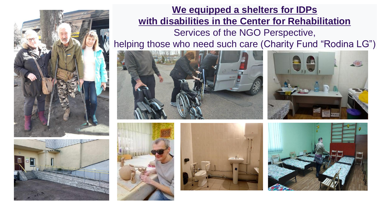



## **We equipped a shelters for IDPs with disabilities in the Center for Rehabilitation** Services of the NGO Perspective,

helping those who need such care (Charity Fund "Rodina LG")









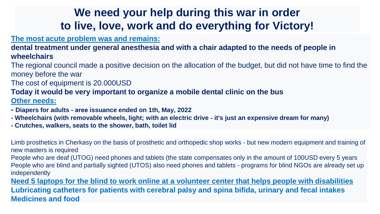# **We need your help during this war in order to live, love, work and do everything for Victory!**

#### **The most acute problem was and remains:**

**dental treatment under general anesthesia and with a chair adapted to the needs of people in wheelchairs**

The regional council made a positive decision on the allocation of the budget, but did not have time to find the money before the war

The cost of equipment is 20.000USD

### **Today it would be very important to organize a mobile dental clinic on the bus**

**Other needs:**

- **- Diapers for adults - аree issuance ended on 1th, May, 2022**
- **- Wheelchairs (with removable wheels, light; with an electric drive - it's just an expensive dream for many)**
- **- Crutches, walkers, seats to the shower, bath, toilet lid**

Limb prosthetics in Cherkasy on the basis of prosthetic and orthopedic shop works - but new modern equipment and training of new masters is required

People who are deaf (UTOG) need phones and tablets (the state compensates only in the amount of 100USD every 5 years People who are blind and partially sighted (UTOS) also need phones and tablets - programs for blind NGOs are already set up independently

**Need 5 laptops for the blind to work online at a volunteer center that helps people with disabilities Lubricating catheters for patients with cerebral palsy and spina bifida, urinary and fecal intakes Medicines and food**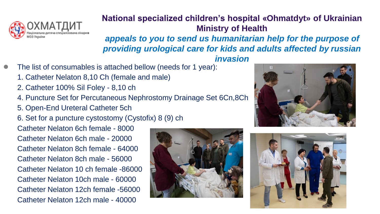

## **National specialized children's hospital «Ohmatdyt» of Ukrainian Ministry of Health** *appeals to you to send us humanitarian help for the purpose of providing urological care for kids and adults affected by russian*

*invasion*

- The list of consumables is attached bellow (needs for 1 year):
	- 1. Catheter Nelaton 8,10 Ch (female and male)
	- 2. Catheter 100% Sil Foley 8,10 сh
	- 4. Puncture Set for Percutaneous Nephrostomy Drainage Set 6Cn,8Ch
	- 5. Open-End Ureteral Catheter 5ch

6. Set for a puncture cystostomy (Cystofix) 8 (9) ch

Catheter Nelaton 6ch female - 8000 Catheter Nelaton 6ch male - 20000 Catheter Nelaton 8ch female - 64000 Catheter Nelaton 8ch male - 56000 Catheter Nelaton 10 ch female -86000 Catheter Nelaton 10ch male - 60000 Catheter Nelaton 12ch female -56000 Catheter Nelaton 12ch male - 40000





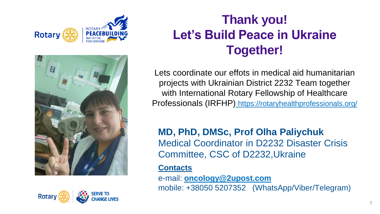





# **Thank you! Let's Build Peace in Ukraine Together!**

Lets coordinate our effots in medical aid humanitarian projects with Ukrainian District 2232 Team together with International Rotary Fellowship of Healthcare Professionals (IRFHP) <https://rotaryhealthprofessionals.org/>

**MD, PhD, DMSc, Prof Olha Paliychuk** Medical Coordinator in D2232 Disaster Crisis Committee, CSC of D2232,Ukraine

### **Contacts**

e-mail: **[oncology@2upost.com](mailto:oncology@2upost.com)** mobile: +38050 5207352 (WhatsApp/Viber/Telegram)